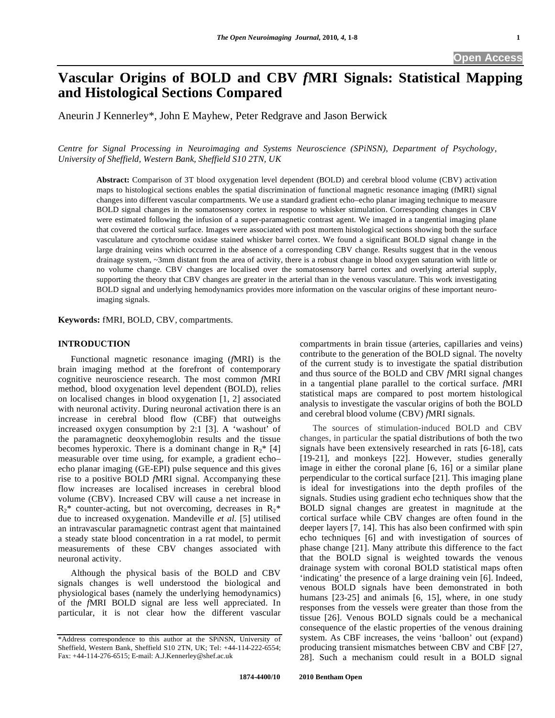# **Vascular Origins of BOLD and CBV** *f***MRI Signals: Statistical Mapping and Histological Sections Compared**

Aneurin J Kennerley\*, John E Mayhew, Peter Redgrave and Jason Berwick

*Centre for Signal Processing in Neuroimaging and Systems Neuroscience (SPiNSN), Department of Psychology, University of Sheffield, Western Bank, Sheffield S10 2TN, UK* 

**Abstract:** Comparison of 3T blood oxygenation level dependent (BOLD) and cerebral blood volume (CBV) activation maps to histological sections enables the spatial discrimination of functional magnetic resonance imaging (fMRI) signal changes into different vascular compartments. We use a standard gradient echo–echo planar imaging technique to measure BOLD signal changes in the somatosensory cortex in response to whisker stimulation. Corresponding changes in CBV were estimated following the infusion of a super-paramagnetic contrast agent. We imaged in a tangential imaging plane that covered the cortical surface. Images were associated with post mortem histological sections showing both the surface vasculature and cytochrome oxidase stained whisker barrel cortex. We found a significant BOLD signal change in the large draining veins which occurred in the absence of a corresponding CBV change. Results suggest that in the venous drainage system, ~3mm distant from the area of activity, there is a robust change in blood oxygen saturation with little or no volume change. CBV changes are localised over the somatosensory barrel cortex and overlying arterial supply, supporting the theory that CBV changes are greater in the arterial than in the venous vasculature. This work investigating BOLD signal and underlying hemodynamics provides more information on the vascular origins of these important neuroimaging signals.

**Keywords:** fMRI, BOLD, CBV, compartments.

# **INTRODUCTION**

 Functional magnetic resonance imaging (*f*MRI) is the brain imaging method at the forefront of contemporary cognitive neuroscience research. The most common *f*MRI method, blood oxygenation level dependent (BOLD), relies on localised changes in blood oxygenation [1, 2] associated with neuronal activity. During neuronal activation there is an increase in cerebral blood flow (CBF) that outweighs increased oxygen consumption by 2:1 [3]. A 'washout' of the paramagnetic deoxyhemoglobin results and the tissue becomes hyperoxic. There is a dominant change in  $R_2^*$  [4] measurable over time using, for example, a gradient echo– echo planar imaging (GE-EPI) pulse sequence and this gives rise to a positive BOLD *f*MRI signal. Accompanying these flow increases are localised increases in cerebral blood volume (CBV). Increased CBV will cause a net increase in  $R_2^*$  counter-acting, but not overcoming, decreases in  $R_2^*$ due to increased oxygenation. Mandeville *et al.* [5] utilised an intravascular paramagnetic contrast agent that maintained a steady state blood concentration in a rat model, to permit measurements of these CBV changes associated with neuronal activity.

 Although the physical basis of the BOLD and CBV signals changes is well understood the biological and physiological bases (namely the underlying hemodynamics) of the *f*MRI BOLD signal are less well appreciated. In particular, it is not clear how the different vascular compartments in brain tissue (arteries, capillaries and veins) contribute to the generation of the BOLD signal. The novelty of the current study is to investigate the spatial distribution and thus source of the BOLD and CBV *f*MRI signal changes in a tangential plane parallel to the cortical surface. *f*MRI statistical maps are compared to post mortem histological analysis to investigate the vascular origins of both the BOLD and cerebral blood volume (CBV) *f*MRI signals.

 The sources of stimulation-induced BOLD and CBV changes, in particular the spatial distributions of both the two signals have been extensively researched in rats [6-18], cats [19-21], and monkeys [22]. However, studies generally image in either the coronal plane [6, 16] or a similar plane perpendicular to the cortical surface [21]. This imaging plane is ideal for investigations into the depth profiles of the signals. Studies using gradient echo techniques show that the BOLD signal changes are greatest in magnitude at the cortical surface while CBV changes are often found in the deeper layers [7, 14]. This has also been confirmed with spin echo techniques [6] and with investigation of sources of phase change [21]. Many attribute this difference to the fact that the BOLD signal is weighted towards the venous drainage system with coronal BOLD statistical maps often 'indicating' the presence of a large draining vein [6]. Indeed, venous BOLD signals have been demonstrated in both humans [23-25] and animals [6, 15], where, in one study responses from the vessels were greater than those from the tissue [26]. Venous BOLD signals could be a mechanical consequence of the elastic properties of the venous draining system. As CBF increases, the veins 'balloon' out (expand) producing transient mismatches between CBV and CBF [27, 28]. Such a mechanism could result in a BOLD signal

<sup>\*</sup>Address correspondence to this author at the SPiNSN, University of Sheffield, Western Bank, Sheffield S10 2TN, UK; Tel: +44-114-222-6554; Fax: +44-114-276-6515; E-mail: A.J.Kennerley@shef.ac.uk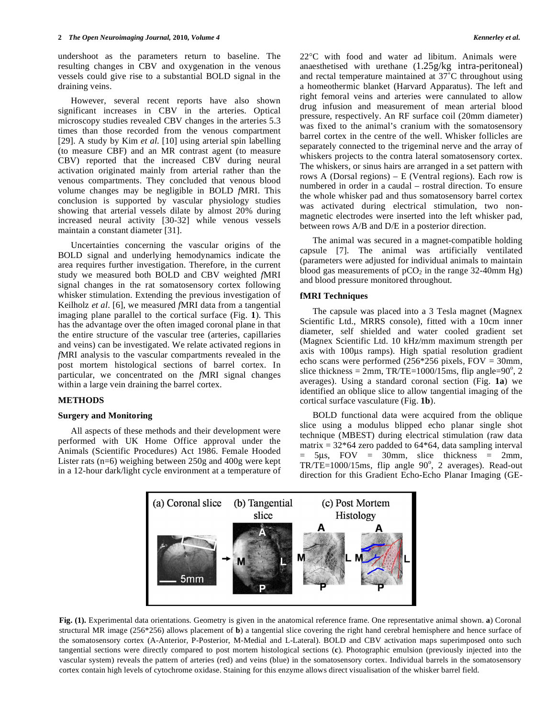undershoot as the parameters return to baseline. The resulting changes in CBV and oxygenation in the venous vessels could give rise to a substantial BOLD signal in the draining veins.

 However, several recent reports have also shown significant increases in CBV in the arteries. Optical microscopy studies revealed CBV changes in the arteries 5.3 times than those recorded from the venous compartment [29]. A study by Kim *et al*. [10] using arterial spin labelling (to measure CBF) and an MR contrast agent (to measure CBV) reported that the increased CBV during neural activation originated mainly from arterial rather than the venous compartments. They concluded that venous blood volume changes may be negligible in BOLD *f*MRI. This conclusion is supported by vascular physiology studies showing that arterial vessels dilate by almost 20% during increased neural activity [30-32] while venous vessels maintain a constant diameter [31].

 Uncertainties concerning the vascular origins of the BOLD signal and underlying hemodynamics indicate the area requires further investigation. Therefore, in the current study we measured both BOLD and CBV weighted *f*MRI signal changes in the rat somatosensory cortex following whisker stimulation. Extending the previous investigation of Keilholz *et al*. [6], we measured *f*MRI data from a tangential imaging plane parallel to the cortical surface (Fig. **1**). This has the advantage over the often imaged coronal plane in that the entire structure of the vascular tree (arteries, capillaries and veins) can be investigated. We relate activated regions in *f*MRI analysis to the vascular compartments revealed in the post mortem histological sections of barrel cortex. In particular, we concentrated on the *f*MRI signal changes within a large vein draining the barrel cortex.

### **METHODS**

#### **Surgery and Monitoring**

 All aspects of these methods and their development were performed with UK Home Office approval under the Animals (Scientific Procedures) Act 1986. Female Hooded Lister rats (n=6) weighing between 250g and 400g were kept in a 12-hour dark/light cycle environment at a temperature of

22°C with food and water ad libitum. Animals were anaesthetised with urethane (1.25g/kg intra-peritoneal) and rectal temperature maintained at 37˚C throughout using a homeothermic blanket (Harvard Apparatus). The left and right femoral veins and arteries were cannulated to allow drug infusion and measurement of mean arterial blood pressure, respectively. An RF surface coil (20mm diameter) was fixed to the animal's cranium with the somatosensory barrel cortex in the centre of the well. Whisker follicles are separately connected to the trigeminal nerve and the array of whiskers projects to the contra lateral somatosensory cortex. The whiskers, or sinus hairs are arranged in a set pattern with rows A (Dorsal regions) – E (Ventral regions). Each row is numbered in order in a caudal – rostral direction. To ensure the whole whisker pad and thus somatosensory barrel cortex was activated during electrical stimulation, two nonmagnetic electrodes were inserted into the left whisker pad,

 The animal was secured in a magnet-compatible holding capsule [7]. The animal was artificially ventilated (parameters were adjusted for individual animals to maintain blood gas measurements of  $pCO<sub>2</sub>$  in the range 32-40mm Hg) and blood pressure monitored throughout.

between rows A/B and D/E in a posterior direction.

#### **fMRI Techniques**

 The capsule was placed into a 3 Tesla magnet (Magnex Scientific Ltd., MRRS console), fitted with a 10cm inner diameter, self shielded and water cooled gradient set (Magnex Scientific Ltd. 10 kHz/mm maximum strength per axis with 100μs ramps). High spatial resolution gradient echo scans were performed  $(256*256 \text{ pixels}, \text{FOV} = 30 \text{mm})$ , slice thickness =  $2$ mm, TR/TE=1000/15ms, flip angle=90 $^{\circ}$ , 2 averages). Using a standard coronal section (Fig. **1a**) we identified an oblique slice to allow tangential imaging of the cortical surface vasculature (Fig. **1b**).

 BOLD functional data were acquired from the oblique slice using a modulus blipped echo planar single shot technique (MBEST) during electrical stimulation (raw data matrix =  $32*64$  zero padded to  $64*64$ , data sampling interval  $= 5\mu s$ , FOV  $= 30\mu m$ , slice thickness  $= 2\mu m$ ,  $TR/TE = 1000/15$ ms, flip angle  $90^\circ$ , 2 averages). Read-out direction for this Gradient Echo-Echo Planar Imaging (GE-



**Fig. (1).** Experimental data orientations. Geometry is given in the anatomical reference frame. One representative animal shown. **a**) Coronal structural MR image (256\*256) allows placement of **b**) a tangential slice covering the right hand cerebral hemisphere and hence surface of the somatosensory cortex (A-Anterior, P-Posterior, M-Medial and L-Lateral). BOLD and CBV activation maps superimposed onto such tangential sections were directly compared to post mortem histological sections (**c**). Photographic emulsion (previously injected into the vascular system) reveals the pattern of arteries (red) and veins (blue) in the somatosensory cortex. Individual barrels in the somatosensory cortex contain high levels of cytochrome oxidase. Staining for this enzyme allows direct visualisation of the whisker barrel field.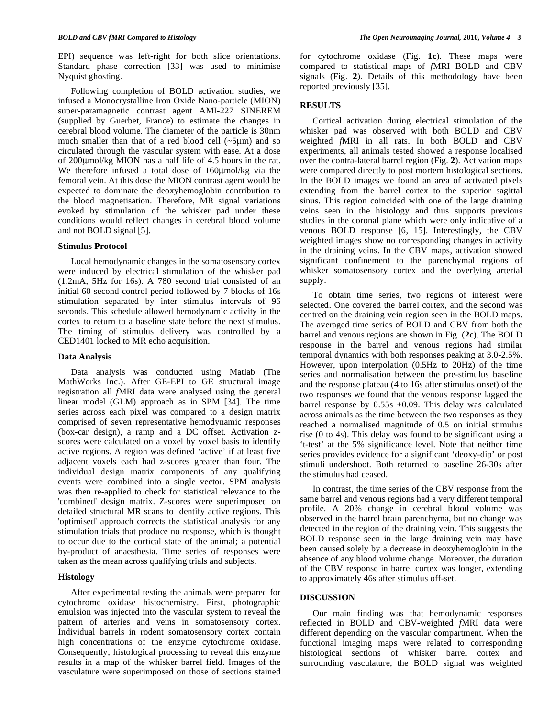EPI) sequence was left-right for both slice orientations. Standard phase correction [33] was used to minimise Nyquist ghosting.

 Following completion of BOLD activation studies, we infused a Monocrystalline Iron Oxide Nano-particle (MION) super-paramagnetic contrast agent AMI-227 SINEREM (supplied by Guerbet, France) to estimate the changes in cerebral blood volume. The diameter of the particle is 30nm much smaller than that of a red blood cell (~5μm) and so circulated through the vascular system with ease. At a dose of 200μmol/kg MION has a half life of 4.5 hours in the rat. We therefore infused a total dose of 160μmol/kg via the femoral vein. At this dose the MION contrast agent would be expected to dominate the deoxyhemoglobin contribution to the blood magnetisation. Therefore, MR signal variations evoked by stimulation of the whisker pad under these conditions would reflect changes in cerebral blood volume and not BOLD signal [5].

#### **Stimulus Protocol**

 Local hemodynamic changes in the somatosensory cortex were induced by electrical stimulation of the whisker pad (1.2mA, 5Hz for 16s). A 780 second trial consisted of an initial 60 second control period followed by 7 blocks of 16s stimulation separated by inter stimulus intervals of 96 seconds. This schedule allowed hemodynamic activity in the cortex to return to a baseline state before the next stimulus. The timing of stimulus delivery was controlled by a CED1401 locked to MR echo acquisition.

#### **Data Analysis**

 Data analysis was conducted using Matlab (The MathWorks Inc.). After GE-EPI to GE structural image registration all *f*MRI data were analysed using the general linear model (GLM) approach as in SPM [34]. The time series across each pixel was compared to a design matrix comprised of seven representative hemodynamic responses (box-car design), a ramp and a DC offset. Activation zscores were calculated on a voxel by voxel basis to identify active regions. A region was defined 'active' if at least five adjacent voxels each had z-scores greater than four. The individual design matrix components of any qualifying events were combined into a single vector. SPM analysis was then re-applied to check for statistical relevance to the 'combined' design matrix. Z-scores were superimposed on detailed structural MR scans to identify active regions. This 'optimised' approach corrects the statistical analysis for any stimulation trials that produce no response, which is thought to occur due to the cortical state of the animal; a potential by-product of anaesthesia. Time series of responses were taken as the mean across qualifying trials and subjects.

# **Histology**

 After experimental testing the animals were prepared for cytochrome oxidase histochemistry. First, photographic emulsion was injected into the vascular system to reveal the pattern of arteries and veins in somatosensory cortex. Individual barrels in rodent somatosensory cortex contain high concentrations of the enzyme cytochrome oxidase. Consequently, histological processing to reveal this enzyme results in a map of the whisker barrel field. Images of the vasculature were superimposed on those of sections stained

for cytochrome oxidase (Fig. **1c**). These maps were compared to statistical maps of *f*MRI BOLD and CBV signals (Fig. **2**). Details of this methodology have been reported previously [35].

# **RESULTS**

 Cortical activation during electrical stimulation of the whisker pad was observed with both BOLD and CBV weighted *f*MRI in all rats. In both BOLD and CBV experiments, all animals tested showed a response localised over the contra-lateral barrel region (Fig. **2**). Activation maps were compared directly to post mortem histological sections. In the BOLD images we found an area of activated pixels extending from the barrel cortex to the superior sagittal sinus. This region coincided with one of the large draining veins seen in the histology and thus supports previous studies in the coronal plane which were only indicative of a venous BOLD response [6, 15]. Interestingly, the CBV weighted images show no corresponding changes in activity in the draining veins. In the CBV maps, activation showed significant confinement to the parenchymal regions of whisker somatosensory cortex and the overlying arterial supply.

 To obtain time series, two regions of interest were selected. One covered the barrel cortex, and the second was centred on the draining vein region seen in the BOLD maps. The averaged time series of BOLD and CBV from both the barrel and venous regions are shown in Fig. (**2c**). The BOLD response in the barrel and venous regions had similar temporal dynamics with both responses peaking at 3.0-2.5%. However, upon interpolation (0.5Hz to 20Hz) of the time series and normalisation between the pre-stimulus baseline and the response plateau (4 to 16s after stimulus onset) of the two responses we found that the venous response lagged the barrel response by  $0.55s \pm 0.09$ . This delay was calculated across animals as the time between the two responses as they reached a normalised magnitude of 0.5 on initial stimulus rise (0 to 4s). This delay was found to be significant using a 't-test' at the 5% significance level. Note that neither time series provides evidence for a significant 'deoxy-dip' or post stimuli undershoot. Both returned to baseline 26-30s after the stimulus had ceased.

 In contrast, the time series of the CBV response from the same barrel and venous regions had a very different temporal profile. A 20% change in cerebral blood volume was observed in the barrel brain parenchyma, but no change was detected in the region of the draining vein. This suggests the BOLD response seen in the large draining vein may have been caused solely by a decrease in deoxyhemoglobin in the absence of any blood volume change. Moreover, the duration of the CBV response in barrel cortex was longer, extending to approximately 46s after stimulus off-set.

# **DISCUSSION**

 Our main finding was that hemodynamic responses reflected in BOLD and CBV-weighted *f*MRI data were different depending on the vascular compartment. When the functional imaging maps were related to corresponding histological sections of whisker barrel cortex and surrounding vasculature, the BOLD signal was weighted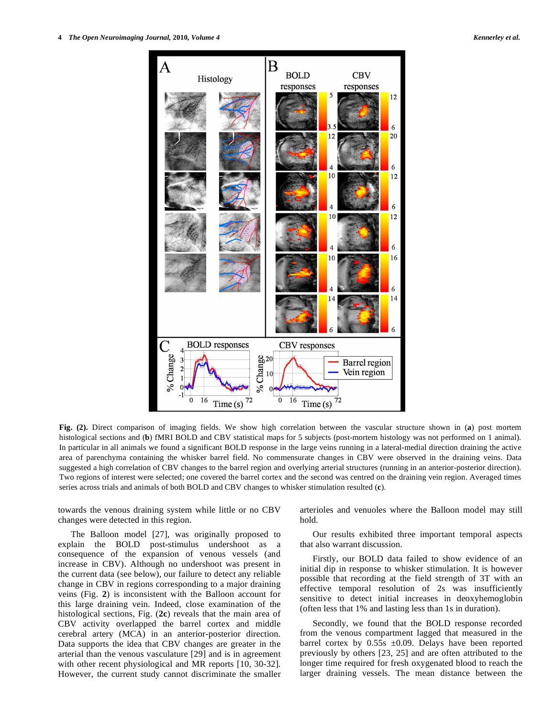

**Fig. (2).** Direct comparison of imaging fields. We show high correlation between the vascular structure shown in (**a**) post mortem histological sections and (**b**) fMRI BOLD and CBV statistical maps for 5 subjects (post-mortem histology was not performed on 1 animal). In particular in all animals we found a significant BOLD response in the large veins running in a lateral-medial direction draining the active area of parenchyma containing the whisker barrel field. No commensurate changes in CBV were observed in the draining veins. Data suggested a high correlation of CBV changes to the barrel region and overlying arterial structures (running in an anterior-posterior direction). Two regions of interest were selected; one covered the barrel cortex and the second was centred on the draining vein region. Averaged times series across trials and animals of both BOLD and CBV changes to whisker stimulation resulted (**c**).

towards the venous draining system while little or no CBV changes were detected in this region.

 The Balloon model [27], was originally proposed to explain the BOLD post-stimulus undershoot as a consequence of the expansion of venous vessels (and increase in CBV). Although no undershoot was present in the current data (see below), our failure to detect any reliable change in CBV in regions corresponding to a major draining veins (Fig. **2**) is inconsistent with the Balloon account for this large draining vein. Indeed, close examination of the histological sections, Fig. (**2c**) reveals that the main area of CBV activity overlapped the barrel cortex and middle cerebral artery (MCA) in an anterior-posterior direction. Data supports the idea that CBV changes are greater in the arterial than the venous vasculature [29] and is in agreement with other recent physiological and MR reports [10, 30-32]. However, the current study cannot discriminate the smaller

arterioles and venuoles where the Balloon model may still hold.

 Our results exhibited three important temporal aspects that also warrant discussion.

 Firstly, our BOLD data failed to show evidence of an initial dip in response to whisker stimulation. It is however possible that recording at the field strength of 3T with an effective temporal resolution of 2s was insufficiently sensitive to detect initial increases in deoxyhemoglobin (often less that 1% and lasting less than 1s in duration).

 Secondly, we found that the BOLD response recorded from the venous compartment lagged that measured in the barrel cortex by  $0.55s \pm 0.09$ . Delays have been reported previously by others [23, 25] and are often attributed to the longer time required for fresh oxygenated blood to reach the larger draining vessels. The mean distance between the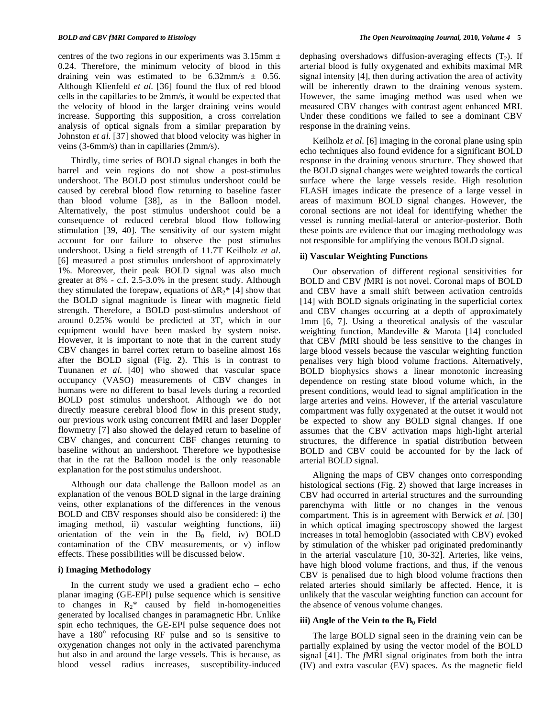centres of the two regions in our experiments was  $3.15$ mm  $\pm$ 0.24. Therefore, the minimum velocity of blood in this draining vein was estimated to be  $6.32$ mm/s  $\pm$  0.56. Although Klienfeld *et al*. [36] found the flux of red blood cells in the capillaries to be 2mm/s, it would be expected that the velocity of blood in the larger draining veins would increase. Supporting this supposition, a cross correlation analysis of optical signals from a similar preparation by Johnston *et al*. [37] showed that blood velocity was higher in veins (3-6mm/s) than in capillaries (2mm/s).

 Thirdly, time series of BOLD signal changes in both the barrel and vein regions do not show a post-stimulus undershoot. The BOLD post stimulus undershoot could be caused by cerebral blood flow returning to baseline faster than blood volume [38], as in the Balloon model. Alternatively, the post stimulus undershoot could be a consequence of reduced cerebral blood flow following stimulation [39, 40]. The sensitivity of our system might account for our failure to observe the post stimulus undershoot. Using a field strength of 11.7T Keilholz *et al*. [6] measured a post stimulus undershoot of approximately 1%. Moreover, their peak BOLD signal was also much greater at 8% - c.f. 2.5-3.0% in the present study. Although they stimulated the forepaw, equations of  $\Delta R_2^*$  [4] show that the BOLD signal magnitude is linear with magnetic field strength. Therefore, a BOLD post-stimulus undershoot of around 0.25% would be predicted at 3T, which in our equipment would have been masked by system noise. However, it is important to note that in the current study CBV changes in barrel cortex return to baseline almost 16s after the BOLD signal (Fig. **2**). This is in contrast to Tuunanen *et al*. [40] who showed that vascular space occupancy (VASO) measurements of CBV changes in humans were no different to basal levels during a recorded BOLD post stimulus undershoot. Although we do not directly measure cerebral blood flow in this present study, our previous work using concurrent fMRI and laser Doppler flowmetry [7] also showed the delayed return to baseline of CBV changes, and concurrent CBF changes returning to baseline without an undershoot. Therefore we hypothesise that in the rat the Balloon model is the only reasonable explanation for the post stimulus undershoot.

 Although our data challenge the Balloon model as an explanation of the venous BOLD signal in the large draining veins, other explanations of the differences in the venous BOLD and CBV responses should also be considered: i) the imaging method, ii) vascular weighting functions, iii) orientation of the vein in the  $\overline{B}_0$  field, iv) BOLD contamination of the CBV measurements, or v) inflow effects. These possibilities will be discussed below.

# **i) Imaging Methodology**

 In the current study we used a gradient echo – echo planar imaging (GE-EPI) pulse sequence which is sensitive to changes in  $R_2^*$  caused by field in-homogeneities generated by localised changes in paramagnetic Hbr. Unlike spin echo techniques, the GE-EPI pulse sequence does not have a 180° refocusing RF pulse and so is sensitive to oxygenation changes not only in the activated parenchyma but also in and around the large vessels. This is because, as blood vessel radius increases, susceptibility-induced

dephasing overshadows diffusion-averaging effects  $(T_2)$ . If arterial blood is fully oxygenated and exhibits maximal MR signal intensity [4], then during activation the area of activity will be inherently drawn to the draining venous system. However, the same imaging method was used when we measured CBV changes with contrast agent enhanced MRI. Under these conditions we failed to see a dominant CBV response in the draining veins.

 Keilholz *et al*. [6] imaging in the coronal plane using spin echo techniques also found evidence for a significant BOLD response in the draining venous structure. They showed that the BOLD signal changes were weighted towards the cortical surface where the large vessels reside. High resolution FLASH images indicate the presence of a large vessel in areas of maximum BOLD signal changes. However, the coronal sections are not ideal for identifying whether the vessel is running medial-lateral or anterior-posterior. Both these points are evidence that our imaging methodology was not responsible for amplifying the venous BOLD signal.

## **ii) Vascular Weighting Functions**

 Our observation of different regional sensitivities for BOLD and CBV *f*MRI is not novel. Coronal maps of BOLD and CBV have a small shift between activation centroids [14] with BOLD signals originating in the superficial cortex and CBV changes occurring at a depth of approximately 1mm [6, 7]. Using a theoretical analysis of the vascular weighting function, Mandeville & Marota [14] concluded that CBV *f*MRI should be less sensitive to the changes in large blood vessels because the vascular weighting function penalises very high blood volume fractions. Alternatively, BOLD biophysics shows a linear monotonic increasing dependence on resting state blood volume which, in the present conditions, would lead to signal amplification in the large arteries and veins. However, if the arterial vasculature compartment was fully oxygenated at the outset it would not be expected to show any BOLD signal changes. If one assumes that the CBV activation maps high-light arterial structures, the difference in spatial distribution between BOLD and CBV could be accounted for by the lack of arterial BOLD signal.

 Aligning the maps of CBV changes onto corresponding histological sections (Fig. **2**) showed that large increases in CBV had occurred in arterial structures and the surrounding parenchyma with little or no changes in the venous compartment. This is in agreement with Berwick *et al*. [30] in which optical imaging spectroscopy showed the largest increases in total hemoglobin (associated with CBV) evoked by stimulation of the whisker pad originated predominantly in the arterial vasculature [10, 30-32]. Arteries, like veins, have high blood volume fractions, and thus, if the venous CBV is penalised due to high blood volume fractions then related arteries should similarly be affected. Hence, it is unlikely that the vascular weighting function can account for the absence of venous volume changes.

#### **iii)** Angle of the Vein to the B<sub>0</sub> Field

 The large BOLD signal seen in the draining vein can be partially explained by using the vector model of the BOLD signal [41]. The *f*MRI signal originates from both the intra (IV) and extra vascular (EV) spaces. As the magnetic field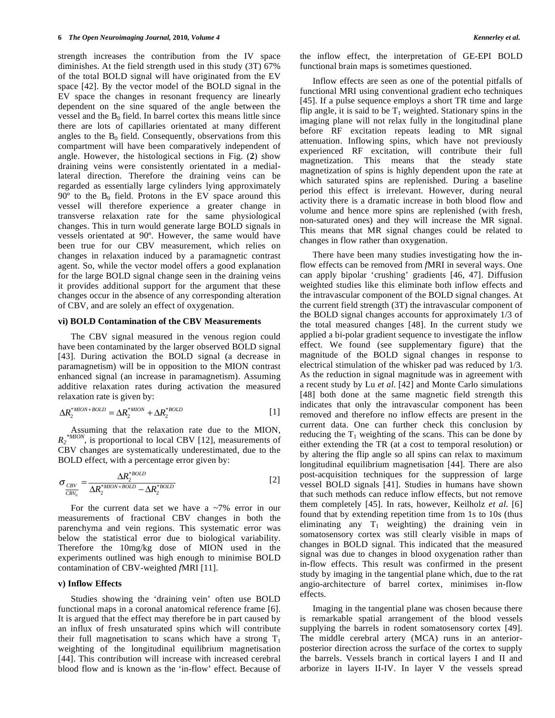strength increases the contribution from the IV space diminishes. At the field strength used in this study (3T) 67% of the total BOLD signal will have originated from the EV space [42]. By the vector model of the BOLD signal in the EV space the changes in resonant frequency are linearly dependent on the sine squared of the angle between the vessel and the  $B_0$  field. In barrel cortex this means little since there are lots of capillaries orientated at many different angles to the  $B_0$  field. Consequently, observations from this compartment will have been comparatively independent of angle. However, the histological sections in Fig. (**2**) show draining veins were consistently orientated in a mediallateral direction. Therefore the draining veins can be regarded as essentially large cylinders lying approximately  $90^\circ$  to the B<sub>0</sub> field. Protons in the EV space around this vessel will therefore experience a greater change in transverse relaxation rate for the same physiological changes. This in turn would generate large BOLD signals in vessels orientated at 90º. However, the same would have been true for our CBV measurement, which relies on changes in relaxation induced by a paramagnetic contrast agent. So, while the vector model offers a good explanation for the large BOLD signal change seen in the draining veins it provides additional support for the argument that these changes occur in the absence of any corresponding alteration of CBV, and are solely an effect of oxygenation.

# **vi) BOLD Contamination of the CBV Measurements**

 The CBV signal measured in the venous region could have been contaminated by the larger observed BOLD signal [43]. During activation the BOLD signal (a decrease in paramagnetism) will be in opposition to the MION contrast enhanced signal (an increase in paramagnetism). Assuming additive relaxation rates during activation the measured relaxation rate is given by:

$$
\Delta R_2^{*MION+BOLD} = \Delta R_2^{*MION} + \Delta R_2^{*BOLD} \tag{1}
$$

 Assuming that the relaxation rate due to the MION,  $R_2$ <sup>\*MION</sup>, is proportional to local CBV [12], measurements of CBV changes are systematically underestimated, due to the BOLD effect, with a percentage error given by:

$$
\sigma_{\frac{CBV}{CBV_0}} = \frac{\Delta R_2^{*BOLD}}{\Delta R_2^{*MION + BOLD} - \Delta R_2^{*BOLD}}
$$
\n[2]

For the current data set we have a  $\sim$ 7% error in our measurements of fractional CBV changes in both the parenchyma and vein regions. This systematic error was below the statistical error due to biological variability. Therefore the 10mg/kg dose of MION used in the experiments outlined was high enough to minimise BOLD contamination of CBV-weighted *f*MRI [11].

# **v) Inflow Effects**

 Studies showing the 'draining vein' often use BOLD functional maps in a coronal anatomical reference frame [6]. It is argued that the effect may therefore be in part caused by an influx of fresh unsaturated spins which will contribute their full magnetisation to scans which have a strong  $T_1$ weighting of the longitudinal equilibrium magnetisation [44]. This contribution will increase with increased cerebral blood flow and is known as the 'in-flow' effect. Because of

the inflow effect, the interpretation of GE-EPI BOLD functional brain maps is sometimes questioned.

 Inflow effects are seen as one of the potential pitfalls of functional MRI using conventional gradient echo techniques [45]. If a pulse sequence employs a short TR time and large flip angle, it is said to be  $T_1$  weighted. Stationary spins in the imaging plane will not relax fully in the longitudinal plane before RF excitation repeats leading to MR signal attenuation. Inflowing spins, which have not previously experienced RF excitation, will contribute their full magnetization. This means that the steady state magnetization of spins is highly dependent upon the rate at which saturated spins are replenished. During a baseline period this effect is irrelevant. However, during neural activity there is a dramatic increase in both blood flow and volume and hence more spins are replenished (with fresh, non-saturated ones) and they will increase the MR signal. This means that MR signal changes could be related to changes in flow rather than oxygenation.

 There have been many studies investigating how the inflow effects can be removed from *f*MRI in several ways. One can apply bipolar 'crushing' gradients [46, 47]. Diffusion weighted studies like this eliminate both inflow effects and the intravascular component of the BOLD signal changes. At the current field strength (3T) the intravascular component of the BOLD signal changes accounts for approximately 1/3 of the total measured changes [48]. In the current study we applied a bi-polar gradient sequence to investigate the inflow effect. We found (see supplementary figure) that the magnitude of the BOLD signal changes in response to electrical stimulation of the whisker pad was reduced by 1/3. As the reduction in signal magnitude was in agreement with a recent study by Lu *et al*. [42] and Monte Carlo simulations [48] both done at the same magnetic field strength this indicates that only the intravascular component has been removed and therefore no inflow effects are present in the current data. One can further check this conclusion by reducing the  $T_1$  weighting of the scans. This can be done by either extending the TR (at a cost to temporal resolution) or by altering the flip angle so all spins can relax to maximum longitudinal equilibrium magnetisation [44]. There are also post-acquisition techniques for the suppression of large vessel BOLD signals [41]. Studies in humans have shown that such methods can reduce inflow effects, but not remove them completely [45]. In rats, however, Keilholz *et al*. [6] found that by extending repetition time from 1s to 10s (thus eliminating any  $T_1$  weighting) the draining vein in somatosensory cortex was still clearly visible in maps of changes in BOLD signal. This indicated that the measured signal was due to changes in blood oxygenation rather than in-flow effects. This result was confirmed in the present study by imaging in the tangential plane which, due to the rat angio-architecture of barrel cortex, minimises in-flow effects.

 Imaging in the tangential plane was chosen because there is remarkable spatial arrangement of the blood vessels supplying the barrels in rodent somatosensory cortex [49]. The middle cerebral artery (MCA) runs in an anteriorposterior direction across the surface of the cortex to supply the barrels. Vessels branch in cortical layers I and II and arborize in layers II-IV. In layer V the vessels spread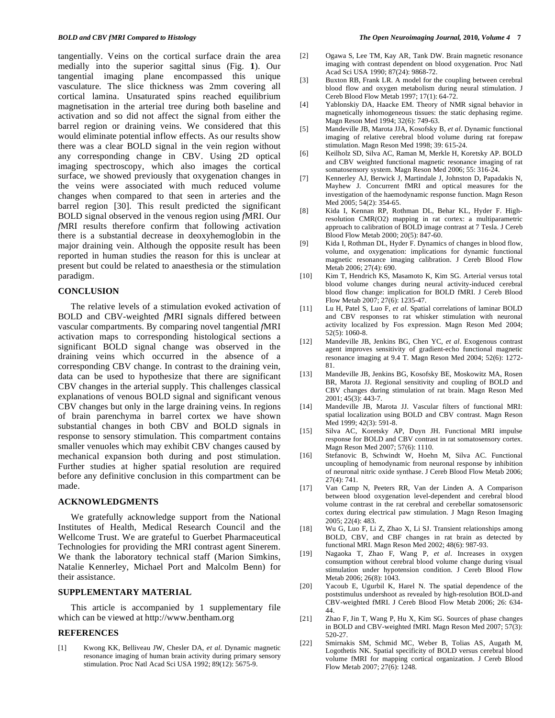tangentially. Veins on the cortical surface drain the area medially into the superior sagittal sinus (Fig. **1**). Our tangential imaging plane encompassed this unique vasculature. The slice thickness was 2mm covering all cortical lamina. Unsaturated spins reached equilibrium magnetisation in the arterial tree during both baseline and activation and so did not affect the signal from either the barrel region or draining veins. We considered that this would eliminate potential inflow effects. As our results show there was a clear BOLD signal in the vein region without any corresponding change in CBV. Using 2D optical imaging spectroscopy, which also images the cortical surface, we showed previously that oxygenation changes in the veins were associated with much reduced volume changes when compared to that seen in arteries and the barrel region [30]. This result predicted the significant BOLD signal observed in the venous region using *f*MRI. Our *f*MRI results therefore confirm that following activation there is a substantial decrease in deoxyhemoglobin in the major draining vein. Although the opposite result has been reported in human studies the reason for this is unclear at present but could be related to anaesthesia or the stimulation paradigm.

## **CONCLUSION**

 The relative levels of a stimulation evoked activation of BOLD and CBV-weighted *f*MRI signals differed between vascular compartments. By comparing novel tangential *f*MRI activation maps to corresponding histological sections a significant BOLD signal change was observed in the draining veins which occurred in the absence of a corresponding CBV change. In contrast to the draining vein, data can be used to hypothesize that there are significant CBV changes in the arterial supply. This challenges classical explanations of venous BOLD signal and significant venous CBV changes but only in the large draining veins. In regions of brain parenchyma in barrel cortex we have shown substantial changes in both CBV and BOLD signals in response to sensory stimulation. This compartment contains smaller venuoles which may exhibit CBV changes caused by mechanical expansion both during and post stimulation. Further studies at higher spatial resolution are required before any definitive conclusion in this compartment can be made.

# **ACKNOWLEDGMENTS**

 We gratefully acknowledge support from the National Institutes of Health, Medical Research Council and the Wellcome Trust. We are grateful to Guerbet Pharmaceutical Technologies for providing the MRI contrast agent Sinerem. We thank the laboratory technical staff (Marion Simkins, Natalie Kennerley, Michael Port and Malcolm Benn) for their assistance.

## **SUPPLEMENTARY MATERIAL**

 This article is accompanied by 1 supplementary file which can be viewed at http://www.bentham.org

#### **REFERENCES**

[1] Kwong KK, Belliveau JW, Chesler DA, *et al*. Dynamic magnetic resonance imaging of human brain activity during primary sensory stimulation. Proc Natl Acad Sci USA 1992; 89(12): 5675-9.

- [2] Ogawa S, Lee TM, Kay AR, Tank DW. Brain magnetic resonance imaging with contrast dependent on blood oxygenation. Proc Natl Acad Sci USA 1990; 87(24): 9868-72.
- [3] Buxton RB, Frank LR. A model for the coupling between cerebral blood flow and oxygen metabolism during neural stimulation. J Cereb Blood Flow Metab 1997; 17(1): 64-72.
- [4] Yablonskiy DA, Haacke EM. Theory of NMR signal behavior in magnetically inhomogeneous tissues: the static dephasing regime. Magn Reson Med 1994; 32(6): 749-63.
- [5] Mandeville JB, Marota JJA, Kosofsky B, *et al*. Dynamic functional imaging of relative cerebral blood volume during rat forepaw stimulation. Magn Reson Med 1998; 39: 615-24.
- [6] Keilholz SD, Silva AC, Raman M, Merkle H, Koretsky AP. BOLD and CBV weighted functional magnetic resonance imaging of rat somatosensory system. Magn Reson Med 2006; 55: 316-24.
- [7] Kennerley AJ, Berwick J, Martindale J, Johnston D, Papadakis N, Mayhew J. Concurrent fMRI and optical measures for the investigation of the haemodynamic response function. Magn Reson Med 2005; 54(2): 354-65.
- [8] Kida I, Kennan RP, Rothman DL, Behar KL, Hyder F. Highresolution CMR(O2) mapping in rat cortex: a multiparametric approach to calibration of BOLD image contrast at 7 Tesla. J Cereb Blood Flow Metab 2000; 20(5): 847-60.
- [9] Kida I, Rothman DL, Hyder F. Dynamics of changes in blood flow, volume, and oxygenation: implications for dynamic functional magnetic resonance imaging calibration. J Cereb Blood Flow Metab 2006; 27(4): 690.
- [10] Kim T, Hendrich KS, Masamoto K, Kim SG. Arterial versus total blood volume changes during neural activity-induced cerebral blood flow change: implication for BOLD fMRI. J Cereb Blood Flow Metab 2007; 27(6): 1235-47.
- [11] Lu H, Patel S, Luo F, *et al*. Spatial correlations of laminar BOLD and CBV responses to rat whisker stimulation with neuronal activity localized by Fos expression. Magn Reson Med 2004; 52(5): 1060-8.
- [12] Mandeville JB, Jenkins BG, Chen YC, *et al*. Exogenous contrast agent improves sensitivity of gradient-echo functional magnetic resonance imaging at 9.4 T. Magn Reson Med 2004; 52(6): 1272- 81.
- [13] Mandeville JB, Jenkins BG, Kosofsky BE, Moskowitz MA, Rosen BR, Marota JJ. Regional sensitivity and coupling of BOLD and CBV changes during stimulation of rat brain. Magn Reson Med 2001; 45(3): 443-7.
- [14] Mandeville JB, Marota JJ. Vascular filters of functional MRI: spatial localization using BOLD and CBV contrast. Magn Reson Med 1999; 42(3): 591-8.
- [15] Silva AC, Koretsky AP, Duyn JH. Functional MRI impulse response for BOLD and CBV contrast in rat somatosensory cortex. Magn Reson Med 2007; 57(6): 1110.
- [16] Stefanovic B, Schwindt W, Hoehn M, Silva AC. Functional uncoupling of hemodynamic from neuronal response by inhibition of neuronal nitric oxide synthase. J Cereb Blood Flow Metab 2006; 27(4): 741.
- [17] Van Camp N, Peeters RR, Van der Linden A. A Comparison between blood oxygenation level-dependent and cerebral blood volume contrast in the rat cerebral and cerebellar somatosensoric cortex during electrical paw stimulation. J Magn Reson Imaging 2005; 22(4): 483.
- [18] Wu G, Luo F, Li Z, Zhao X, Li SJ. Transient relationships among BOLD, CBV, and CBF changes in rat brain as detected by functional MRI. Magn Reson Med 2002; 48(6): 987-93.
- [19] Nagaoka T, Zhao F, Wang P, *et al*. Increases in oxygen consumption without cerebral blood volume change during visual stimulation under hypotension condition. J Cereb Blood Flow Metab 2006; 26(8): 1043.
- [20] Yacoub E, Ugurbil K, Harel N. The spatial dependence of the poststimulus undershoot as revealed by high-resolution BOLD-and CBV-weighted fMRI. J Cereb Blood Flow Metab 2006; 26: 634- 44.
- [21] Zhao F, Jin T, Wang P, Hu X, Kim SG. Sources of phase changes in BOLD and CBV-weighted fMRI. Magn Reson Med 2007; 57(3): 520-27.
- [22] Smirnakis SM, Schmid MC, Weber B, Tolias AS, Augath M, Logothetis NK. Spatial specificity of BOLD versus cerebral blood volume fMRI for mapping cortical organization. J Cereb Blood Flow Metab 2007; 27(6): 1248.